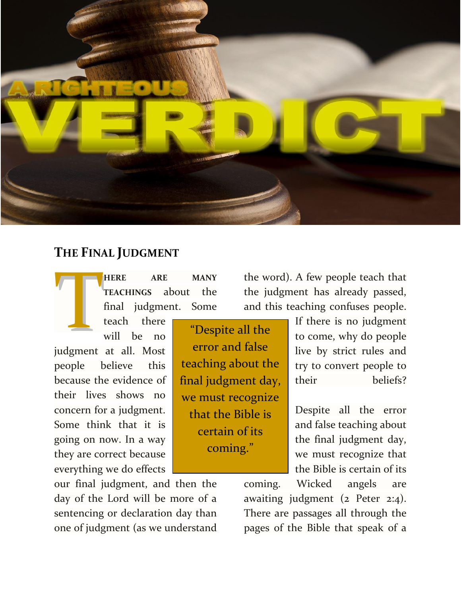

## **THE FINAL JUDGMENT**

teach there

**HERE ARE MANY TEACHINGS** about the final judgment. Some TEACHINGS about the the judgment. Some and the stach there will be no will Most all the error and false

will be no judgment at all. Most people believe this because the evidence of their lives shows no concern for a judgment. Some think that it is going on now. In a way they are correct because everything we do effects

error and false teaching about the final judgment day, we must recognize that the Bible is certain of its coming."

the word). A few people teach that the judgment has already passed, and this teaching confuses people.

> If there is no judgment to come, why do people live by strict rules and try to convert people to their beliefs?

> Despite all the error and false teaching about the final judgment day, we must recognize that the Bible is certain of its

our final judgment, and then the day of the Lord will be more of a sentencing or declaration day than one of judgment (as we understand

coming. Wicked angels are awaiting judgment (2 Peter 2:4). There are passages all through the pages of the Bible that speak of a